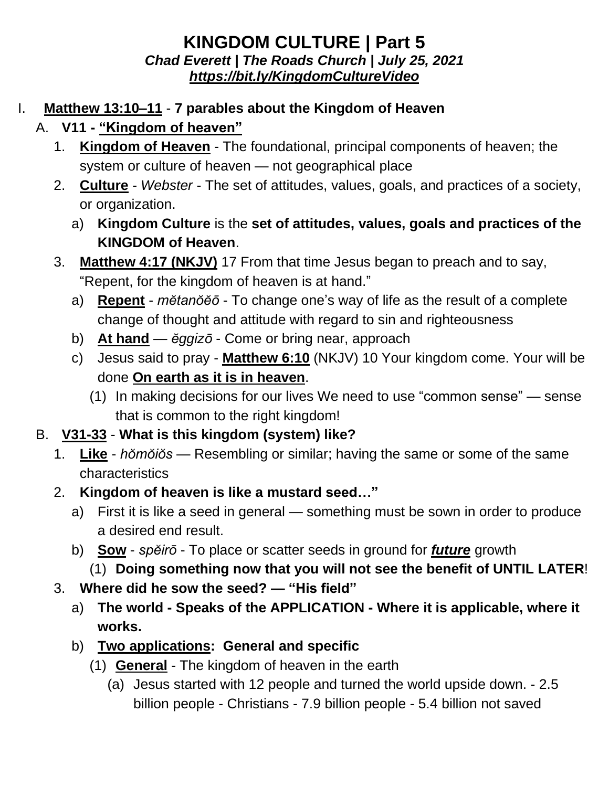## **KINGDOM CULTURE | Part 5** *Chad Everett | The Roads Church | July 25, 2021 <https://bit.ly/KingdomCultureVideo>*

## I. **Matthew 13:10–11** - **7 parables about the Kingdom of Heaven**

- A. **V11 - "Kingdom of heaven"**
	- 1. **Kingdom of Heaven** The foundational, principal components of heaven; the system or culture of heaven — not geographical place
	- 2. **Culture** *Webster* The set of attitudes, values, goals, and practices of a society, or organization.
		- a) **Kingdom Culture** is the **set of attitudes, values, goals and practices of the KINGDOM of Heaven**.
	- 3. **Matthew 4:17 (NKJV)** 17 From that time Jesus began to preach and to say, "Repent, for the kingdom of heaven is at hand."
		- a) **Repent** *mĕtanŏĕō* To change one's way of life as the result of a complete change of thought and attitude with regard to sin and righteousness
		- b) **At hand** *ĕggizō* Come or bring near, approach
		- c) Jesus said to pray **Matthew 6:10** (NKJV) 10 Your kingdom come. Your will be done **On earth as it is in heaven**.
			- (1) In making decisions for our lives We need to use "common sense" sense that is common to the right kingdom!
- B. **V31-33 What is this kingdom (system) like?**
	- 1. **Like** *hŏmŏiŏs* Resembling or similar; having the same or some of the same characteristics
	- 2. **Kingdom of heaven is like a mustard seed…"**
		- a) First it is like a seed in general something must be sown in order to produce a desired end result.
		- b) **Sow** *spĕirō* To place or scatter seeds in ground for *future* growth
			- (1) **Doing something now that you will not see the benefit of UNTIL LATER**!
	- 3. **Where did he sow the seed? — "His field"**
		- a) **The world - Speaks of the APPLICATION - Where it is applicable, where it works.**
		- b) **Two applications: General and specific**
			- (1) **General** The kingdom of heaven in the earth
				- (a) Jesus started with 12 people and turned the world upside down. 2.5 billion people - Christians - 7.9 billion people - 5.4 billion not saved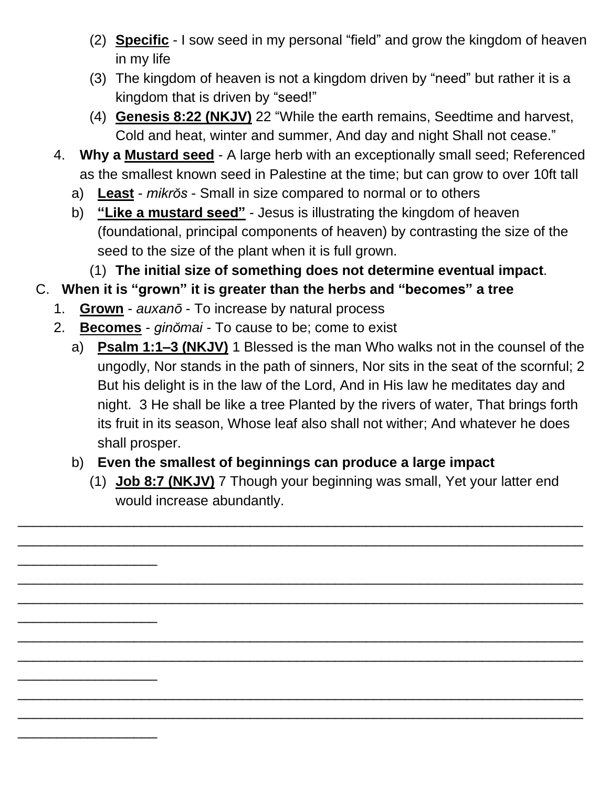- (2) **Specific** I sow seed in my personal "field" and grow the kingdom of heaven in my life
- (3) The kingdom of heaven is not a kingdom driven by "need" but rather it is a kingdom that is driven by "seed!"
- (4) **Genesis 8:22 (NKJV)** 22 "While the earth remains, Seedtime and harvest, Cold and heat, winter and summer, And day and night Shall not cease."
- 4. **Why a Mustard seed** A large herb with an exceptionally small seed; Referenced as the smallest known seed in Palestine at the time; but can grow to over 10ft tall
	- a) **Least** *mikrŏs* Small in size compared to normal or to others
	- b) **"Like a mustard seed"** Jesus is illustrating the kingdom of heaven (foundational, principal components of heaven) by contrasting the size of the seed to the size of the plant when it is full grown.
		- (1) **The initial size of something does not determine eventual impact**.

## C. **When it is "grown" it is greater than the herbs and "becomes" a tree**

1. **Grown** - *auxanō* - To increase by natural process

\_\_\_\_\_\_\_\_\_\_\_\_\_\_\_\_\_\_

\_\_\_\_\_\_\_\_\_\_\_\_\_\_\_\_\_\_

\_\_\_\_\_\_\_\_\_\_\_\_\_\_\_\_\_\_

\_\_\_\_\_\_\_\_\_\_\_\_\_\_\_\_\_\_

- 2. **Becomes** *ginŏmai* To cause to be; come to exist
	- a) **Psalm 1:1–3 (NKJV)** 1 Blessed is the man Who walks not in the counsel of the ungodly, Nor stands in the path of sinners, Nor sits in the seat of the scornful; 2 But his delight is in the law of the Lord, And in His law he meditates day and night. 3 He shall be like a tree Planted by the rivers of water, That brings forth its fruit in its season, Whose leaf also shall not wither; And whatever he does shall prosper.
	- b) **Even the smallest of beginnings can produce a large impact**

\_\_\_\_\_\_\_\_\_\_\_\_\_\_\_\_\_\_\_\_\_\_\_\_\_\_\_\_\_\_\_\_\_\_\_\_\_\_\_\_\_\_\_\_\_\_\_\_\_\_\_\_\_\_\_\_\_\_\_\_\_\_\_\_\_\_\_\_\_\_\_\_\_ \_\_\_\_\_\_\_\_\_\_\_\_\_\_\_\_\_\_\_\_\_\_\_\_\_\_\_\_\_\_\_\_\_\_\_\_\_\_\_\_\_\_\_\_\_\_\_\_\_\_\_\_\_\_\_\_\_\_\_\_\_\_\_\_\_\_\_\_\_\_\_\_\_

\_\_\_\_\_\_\_\_\_\_\_\_\_\_\_\_\_\_\_\_\_\_\_\_\_\_\_\_\_\_\_\_\_\_\_\_\_\_\_\_\_\_\_\_\_\_\_\_\_\_\_\_\_\_\_\_\_\_\_\_\_\_\_\_\_\_\_\_\_\_\_\_\_ \_\_\_\_\_\_\_\_\_\_\_\_\_\_\_\_\_\_\_\_\_\_\_\_\_\_\_\_\_\_\_\_\_\_\_\_\_\_\_\_\_\_\_\_\_\_\_\_\_\_\_\_\_\_\_\_\_\_\_\_\_\_\_\_\_\_\_\_\_\_\_\_\_

\_\_\_\_\_\_\_\_\_\_\_\_\_\_\_\_\_\_\_\_\_\_\_\_\_\_\_\_\_\_\_\_\_\_\_\_\_\_\_\_\_\_\_\_\_\_\_\_\_\_\_\_\_\_\_\_\_\_\_\_\_\_\_\_\_\_\_\_\_\_\_\_\_ \_\_\_\_\_\_\_\_\_\_\_\_\_\_\_\_\_\_\_\_\_\_\_\_\_\_\_\_\_\_\_\_\_\_\_\_\_\_\_\_\_\_\_\_\_\_\_\_\_\_\_\_\_\_\_\_\_\_\_\_\_\_\_\_\_\_\_\_\_\_\_\_\_

\_\_\_\_\_\_\_\_\_\_\_\_\_\_\_\_\_\_\_\_\_\_\_\_\_\_\_\_\_\_\_\_\_\_\_\_\_\_\_\_\_\_\_\_\_\_\_\_\_\_\_\_\_\_\_\_\_\_\_\_\_\_\_\_\_\_\_\_\_\_\_\_\_ \_\_\_\_\_\_\_\_\_\_\_\_\_\_\_\_\_\_\_\_\_\_\_\_\_\_\_\_\_\_\_\_\_\_\_\_\_\_\_\_\_\_\_\_\_\_\_\_\_\_\_\_\_\_\_\_\_\_\_\_\_\_\_\_\_\_\_\_\_\_\_\_\_

(1) **Job 8:7 (NKJV)** 7 Though your beginning was small, Yet your latter end would increase abundantly.